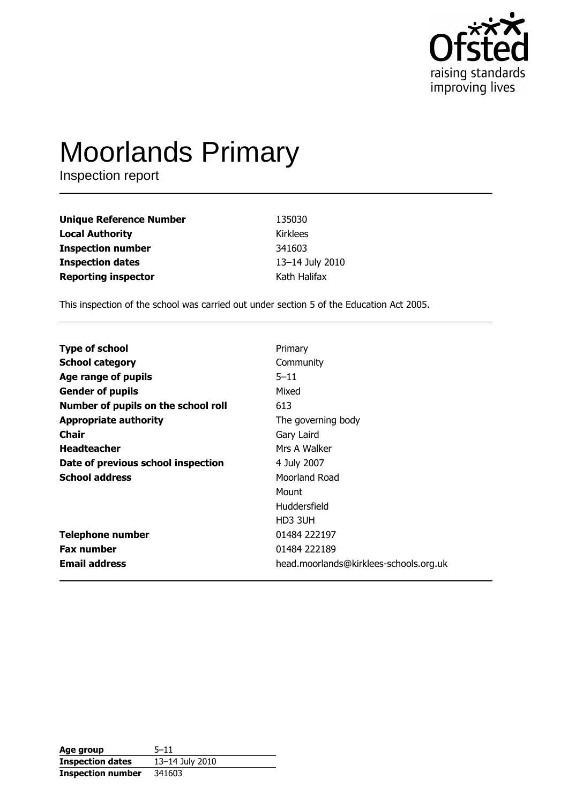

# **Moorlands Primary**

Inspection report

| <b>Unique Reference Number</b> | 135030          |
|--------------------------------|-----------------|
| <b>Local Authority</b>         | <b>Kirklees</b> |
| <b>Inspection number</b>       | 341603          |
| <b>Inspection dates</b>        | 13-14 July 2010 |
| <b>Reporting inspector</b>     | Kath Halifax    |

This inspection of the school was carried out under section 5 of the Education Act 2005.

| <b>Type of school</b>               | Primary                                |
|-------------------------------------|----------------------------------------|
| <b>School category</b>              | Community                              |
| Age range of pupils                 | $5 - 11$                               |
| <b>Gender of pupils</b>             | Mixed                                  |
| Number of pupils on the school roll | 613                                    |
| <b>Appropriate authority</b>        | The governing body                     |
| <b>Chair</b>                        | Gary Laird                             |
| <b>Headteacher</b>                  | Mrs A Walker                           |
| Date of previous school inspection  | 4 July 2007                            |
| <b>School address</b>               | Moorland Road                          |
|                                     | Mount                                  |
|                                     | Huddersfield                           |
|                                     | HD3 3UH                                |
| <b>Telephone number</b>             | 01484 222197                           |
| <b>Fax number</b>                   | 01484 222189                           |
| <b>Email address</b>                | head.moorlands@kirklees-schools.org.uk |

| Age group                | $5 - 11$        |
|--------------------------|-----------------|
| <b>Inspection dates</b>  | 13-14 July 2010 |
| <b>Inspection number</b> | 341603          |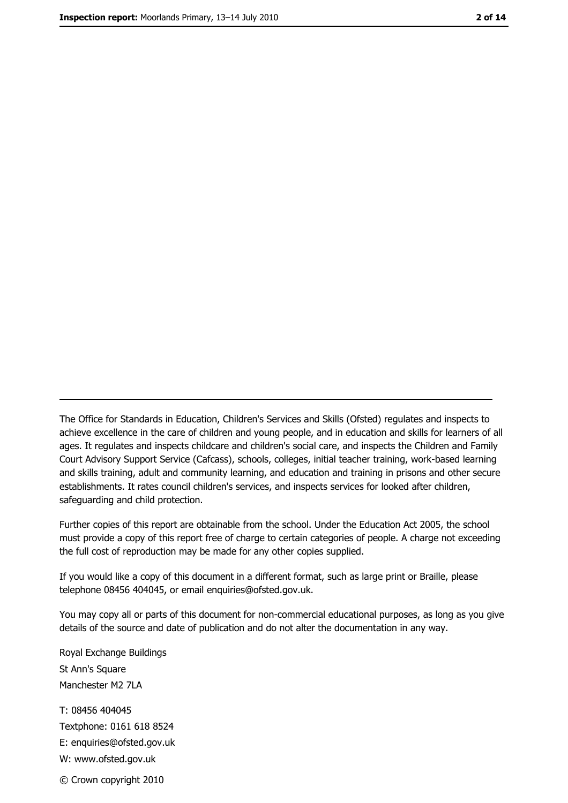The Office for Standards in Education, Children's Services and Skills (Ofsted) regulates and inspects to achieve excellence in the care of children and young people, and in education and skills for learners of all ages. It regulates and inspects childcare and children's social care, and inspects the Children and Family Court Advisory Support Service (Cafcass), schools, colleges, initial teacher training, work-based learning and skills training, adult and community learning, and education and training in prisons and other secure establishments. It rates council children's services, and inspects services for looked after children, safequarding and child protection.

Further copies of this report are obtainable from the school. Under the Education Act 2005, the school must provide a copy of this report free of charge to certain categories of people. A charge not exceeding the full cost of reproduction may be made for any other copies supplied.

If you would like a copy of this document in a different format, such as large print or Braille, please telephone 08456 404045, or email enquiries@ofsted.gov.uk.

You may copy all or parts of this document for non-commercial educational purposes, as long as you give details of the source and date of publication and do not alter the documentation in any way.

Royal Exchange Buildings St Ann's Square Manchester M2 7LA T: 08456 404045 Textphone: 0161 618 8524 E: enquiries@ofsted.gov.uk W: www.ofsted.gov.uk © Crown copyright 2010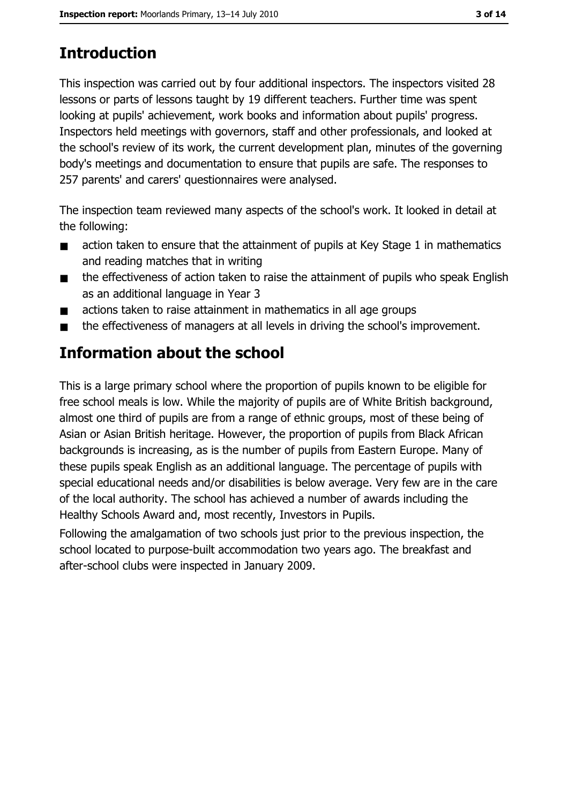# **Introduction**

This inspection was carried out by four additional inspectors. The inspectors visited 28 lessons or parts of lessons taught by 19 different teachers. Further time was spent looking at pupils' achievement, work books and information about pupils' progress. Inspectors held meetings with governors, staff and other professionals, and looked at the school's review of its work, the current development plan, minutes of the governing body's meetings and documentation to ensure that pupils are safe. The responses to 257 parents' and carers' questionnaires were analysed.

The inspection team reviewed many aspects of the school's work. It looked in detail at the following:

- action taken to ensure that the attainment of pupils at Key Stage 1 in mathematics  $\blacksquare$ and reading matches that in writing
- the effectiveness of action taken to raise the attainment of pupils who speak English  $\blacksquare$ as an additional language in Year 3
- actions taken to raise attainment in mathematics in all age groups  $\blacksquare$
- the effectiveness of managers at all levels in driving the school's improvement.  $\blacksquare$

# Information about the school

This is a large primary school where the proportion of pupils known to be eligible for free school meals is low. While the majority of pupils are of White British background, almost one third of pupils are from a range of ethnic groups, most of these being of Asian or Asian British heritage. However, the proportion of pupils from Black African backgrounds is increasing, as is the number of pupils from Eastern Europe. Many of these pupils speak English as an additional language. The percentage of pupils with special educational needs and/or disabilities is below average. Very few are in the care of the local authority. The school has achieved a number of awards including the Healthy Schools Award and, most recently, Investors in Pupils.

Following the amalgamation of two schools just prior to the previous inspection, the school located to purpose-built accommodation two years ago. The breakfast and after-school clubs were inspected in January 2009.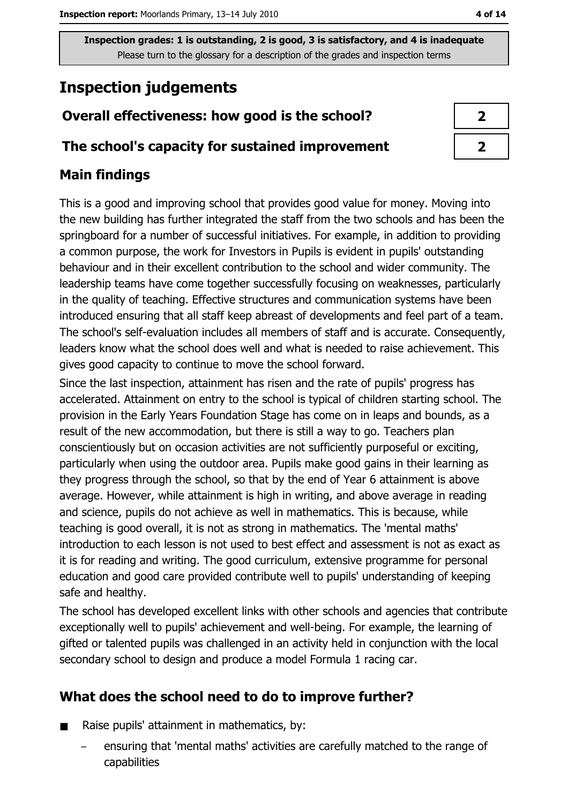# **Inspection judgements**

## Overall effectiveness: how good is the school?

### The school's capacity for sustained improvement

## **Main findings**

This is a good and improving school that provides good value for money. Moving into the new building has further integrated the staff from the two schools and has been the springboard for a number of successful initiatives. For example, in addition to providing a common purpose, the work for Investors in Pupils is evident in pupils' outstanding behaviour and in their excellent contribution to the school and wider community. The leadership teams have come together successfully focusing on weaknesses, particularly in the quality of teaching. Effective structures and communication systems have been introduced ensuring that all staff keep abreast of developments and feel part of a team. The school's self-evaluation includes all members of staff and is accurate. Consequently, leaders know what the school does well and what is needed to raise achievement. This gives good capacity to continue to move the school forward.

Since the last inspection, attainment has risen and the rate of pupils' progress has accelerated. Attainment on entry to the school is typical of children starting school. The provision in the Early Years Foundation Stage has come on in leaps and bounds, as a result of the new accommodation, but there is still a way to go. Teachers plan conscientiously but on occasion activities are not sufficiently purposeful or exciting, particularly when using the outdoor area. Pupils make good gains in their learning as they progress through the school, so that by the end of Year 6 attainment is above average. However, while attainment is high in writing, and above average in reading and science, pupils do not achieve as well in mathematics. This is because, while teaching is good overall, it is not as strong in mathematics. The 'mental maths' introduction to each lesson is not used to best effect and assessment is not as exact as it is for reading and writing. The good curriculum, extensive programme for personal education and good care provided contribute well to pupils' understanding of keeping safe and healthy.

The school has developed excellent links with other schools and agencies that contribute exceptionally well to pupils' achievement and well-being. For example, the learning of gifted or talented pupils was challenged in an activity held in conjunction with the local secondary school to design and produce a model Formula 1 racing car.

## What does the school need to do to improve further?

- Raise pupils' attainment in mathematics, by:
	- ensuring that 'mental maths' activities are carefully matched to the range of capabilities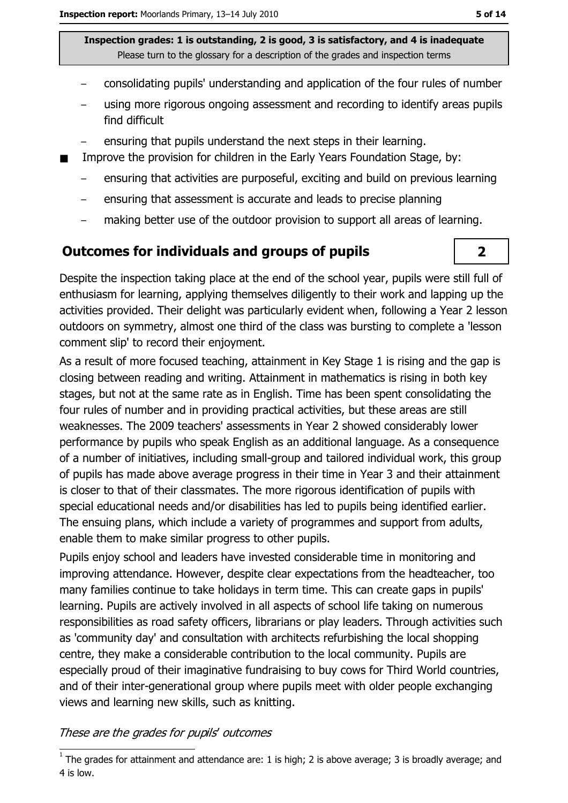- consolidating pupils' understanding and application of the four rules of number
- using more rigorous ongoing assessment and recording to identify areas pupils find difficult
- ensuring that pupils understand the next steps in their learning.
- Improve the provision for children in the Early Years Foundation Stage, by:
	- ensuring that activities are purposeful, exciting and build on previous learning  $\overline{\phantom{m}}$
	- ensuring that assessment is accurate and leads to precise planning
	- making better use of the outdoor provision to support all areas of learning.

### **Outcomes for individuals and groups of pupils**

Despite the inspection taking place at the end of the school year, pupils were still full of enthusiasm for learning, applying themselves diligently to their work and lapping up the activities provided. Their delight was particularly evident when, following a Year 2 lesson outdoors on symmetry, almost one third of the class was bursting to complete a 'lesson comment slip' to record their enjoyment.

As a result of more focused teaching, attainment in Key Stage 1 is rising and the gap is closing between reading and writing. Attainment in mathematics is rising in both key stages, but not at the same rate as in English. Time has been spent consolidating the four rules of number and in providing practical activities, but these areas are still weaknesses. The 2009 teachers' assessments in Year 2 showed considerably lower performance by pupils who speak English as an additional language. As a consequence of a number of initiatives, including small-group and tailored individual work, this group of pupils has made above average progress in their time in Year 3 and their attainment is closer to that of their classmates. The more rigorous identification of pupils with special educational needs and/or disabilities has led to pupils being identified earlier. The ensuing plans, which include a variety of programmes and support from adults, enable them to make similar progress to other pupils.

Pupils enjoy school and leaders have invested considerable time in monitoring and improving attendance. However, despite clear expectations from the headteacher, too many families continue to take holidays in term time. This can create gaps in pupils' learning. Pupils are actively involved in all aspects of school life taking on numerous responsibilities as road safety officers, librarians or play leaders. Through activities such as 'community day' and consultation with architects refurbishing the local shopping centre, they make a considerable contribution to the local community. Pupils are especially proud of their imaginative fundraising to buy cows for Third World countries, and of their inter-generational group where pupils meet with older people exchanging views and learning new skills, such as knitting.

#### These are the grades for pupils' outcomes

 $\overline{\mathbf{2}}$ 

 $\overline{1}$  The grades for attainment and attendance are: 1 is high; 2 is above average; 3 is broadly average; and 4 is low.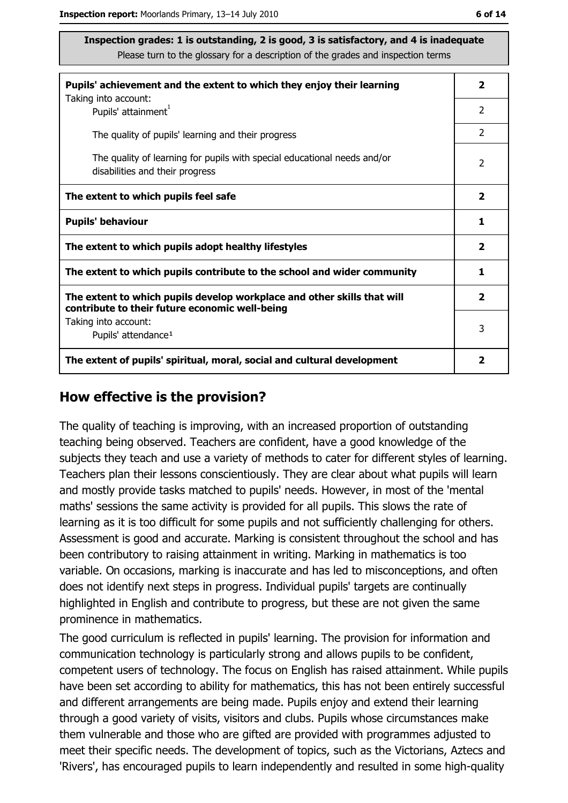| Pupils' achievement and the extent to which they enjoy their learning                                                     |                |
|---------------------------------------------------------------------------------------------------------------------------|----------------|
| Taking into account:<br>Pupils' attainment <sup>1</sup>                                                                   | 2              |
| The quality of pupils' learning and their progress                                                                        | $\overline{2}$ |
| The quality of learning for pupils with special educational needs and/or<br>disabilities and their progress               | $\overline{2}$ |
| The extent to which pupils feel safe                                                                                      | $\mathbf{2}$   |
| <b>Pupils' behaviour</b>                                                                                                  | 1              |
| The extent to which pupils adopt healthy lifestyles                                                                       | 2              |
| The extent to which pupils contribute to the school and wider community                                                   |                |
| The extent to which pupils develop workplace and other skills that will<br>contribute to their future economic well-being | 2              |
| Taking into account:<br>Pupils' attendance <sup>1</sup>                                                                   | 3              |
| The extent of pupils' spiritual, moral, social and cultural development                                                   | 2              |

#### How effective is the provision?

The quality of teaching is improving, with an increased proportion of outstanding teaching being observed. Teachers are confident, have a good knowledge of the subjects they teach and use a variety of methods to cater for different styles of learning. Teachers plan their lessons conscientiously. They are clear about what pupils will learn and mostly provide tasks matched to pupils' needs. However, in most of the 'mental maths' sessions the same activity is provided for all pupils. This slows the rate of learning as it is too difficult for some pupils and not sufficiently challenging for others. Assessment is good and accurate. Marking is consistent throughout the school and has been contributory to raising attainment in writing. Marking in mathematics is too variable. On occasions, marking is inaccurate and has led to misconceptions, and often does not identify next steps in progress. Individual pupils' targets are continually highlighted in English and contribute to progress, but these are not given the same prominence in mathematics.

The good curriculum is reflected in pupils' learning. The provision for information and communication technology is particularly strong and allows pupils to be confident, competent users of technology. The focus on English has raised attainment. While pupils have been set according to ability for mathematics, this has not been entirely successful and different arrangements are being made. Pupils enjoy and extend their learning through a good variety of visits, visitors and clubs. Pupils whose circumstances make them vulnerable and those who are gifted are provided with programmes adjusted to meet their specific needs. The development of topics, such as the Victorians, Aztecs and 'Rivers', has encouraged pupils to learn independently and resulted in some high-quality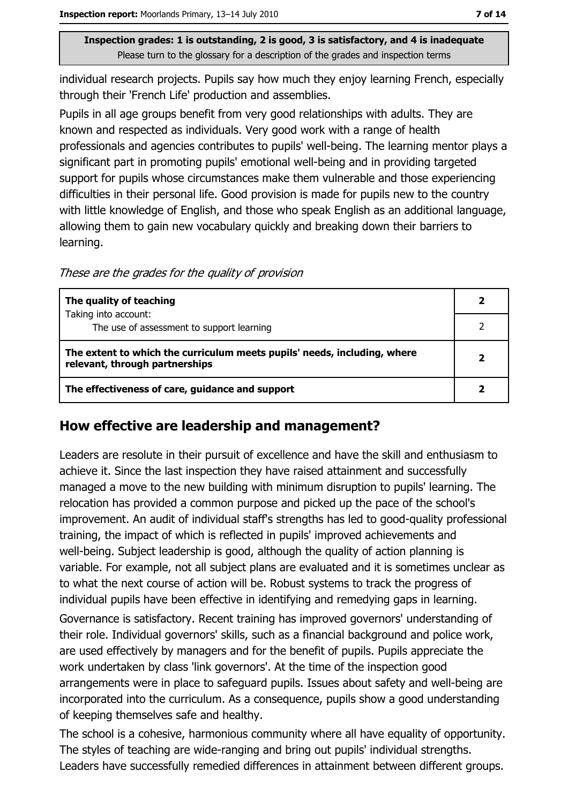individual research projects. Pupils say how much they enjoy learning French, especially through their 'French Life' production and assemblies.

Pupils in all age groups benefit from very good relationships with adults. They are known and respected as individuals. Very good work with a range of health professionals and agencies contributes to pupils' well-being. The learning mentor plays a significant part in promoting pupils' emotional well-being and in providing targeted support for pupils whose circumstances make them vulnerable and those experiencing difficulties in their personal life. Good provision is made for pupils new to the country with little knowledge of English, and those who speak English as an additional language, allowing them to gain new vocabulary guickly and breaking down their barriers to learning.

These are the grades for the quality of provision

| The quality of teaching                                                                                    |  |
|------------------------------------------------------------------------------------------------------------|--|
| Taking into account:<br>The use of assessment to support learning                                          |  |
| The extent to which the curriculum meets pupils' needs, including, where<br>relevant, through partnerships |  |
| The effectiveness of care, guidance and support                                                            |  |

## How effective are leadership and management?

Leaders are resolute in their pursuit of excellence and have the skill and enthusiasm to achieve it. Since the last inspection they have raised attainment and successfully managed a move to the new building with minimum disruption to pupils' learning. The relocation has provided a common purpose and picked up the pace of the school's improvement. An audit of individual staff's strengths has led to good-quality professional training, the impact of which is reflected in pupils' improved achievements and well-being. Subject leadership is good, although the quality of action planning is variable. For example, not all subject plans are evaluated and it is sometimes unclear as to what the next course of action will be. Robust systems to track the progress of individual pupils have been effective in identifying and remedying gaps in learning.

Governance is satisfactory. Recent training has improved governors' understanding of their role. Individual governors' skills, such as a financial background and police work, are used effectively by managers and for the benefit of pupils. Pupils appreciate the work undertaken by class 'link governors'. At the time of the inspection good arrangements were in place to safeguard pupils. Issues about safety and well-being are incorporated into the curriculum. As a consequence, pupils show a good understanding of keeping themselves safe and healthy.

The school is a cohesive, harmonious community where all have equality of opportunity. The styles of teaching are wide-ranging and bring out pupils' individual strengths. Leaders have successfully remedied differences in attainment between different groups.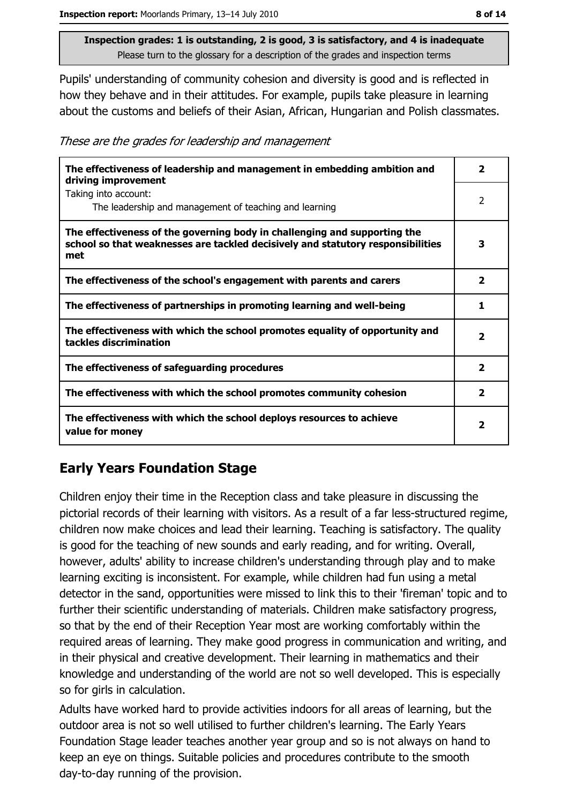Pupils' understanding of community cohesion and diversity is good and is reflected in how they behave and in their attitudes. For example, pupils take pleasure in learning about the customs and beliefs of their Asian, African, Hungarian and Polish classmates.

These are the grades for leadership and management

| The effectiveness of leadership and management in embedding ambition and<br>driving improvement                                                                     | 2                        |
|---------------------------------------------------------------------------------------------------------------------------------------------------------------------|--------------------------|
| Taking into account:<br>The leadership and management of teaching and learning                                                                                      | $\overline{\phantom{a}}$ |
| The effectiveness of the governing body in challenging and supporting the<br>school so that weaknesses are tackled decisively and statutory responsibilities<br>met | 3                        |
| The effectiveness of the school's engagement with parents and carers                                                                                                | $\overline{\mathbf{2}}$  |
| The effectiveness of partnerships in promoting learning and well-being                                                                                              | 1                        |
| The effectiveness with which the school promotes equality of opportunity and<br>tackles discrimination                                                              | $\mathbf{z}$             |
| The effectiveness of safeguarding procedures                                                                                                                        | 2                        |
| The effectiveness with which the school promotes community cohesion                                                                                                 | $\overline{\mathbf{2}}$  |
| The effectiveness with which the school deploys resources to achieve<br>value for money                                                                             | 2                        |

# **Early Years Foundation Stage**

Children enjoy their time in the Reception class and take pleasure in discussing the pictorial records of their learning with visitors. As a result of a far less-structured regime, children now make choices and lead their learning. Teaching is satisfactory. The quality is good for the teaching of new sounds and early reading, and for writing. Overall, however, adults' ability to increase children's understanding through play and to make learning exciting is inconsistent. For example, while children had fun using a metal detector in the sand, opportunities were missed to link this to their 'fireman' topic and to further their scientific understanding of materials. Children make satisfactory progress, so that by the end of their Reception Year most are working comfortably within the required areas of learning. They make good progress in communication and writing, and in their physical and creative development. Their learning in mathematics and their knowledge and understanding of the world are not so well developed. This is especially so for girls in calculation.

Adults have worked hard to provide activities indoors for all areas of learning, but the outdoor area is not so well utilised to further children's learning. The Early Years Foundation Stage leader teaches another year group and so is not always on hand to keep an eye on things. Suitable policies and procedures contribute to the smooth day-to-day running of the provision.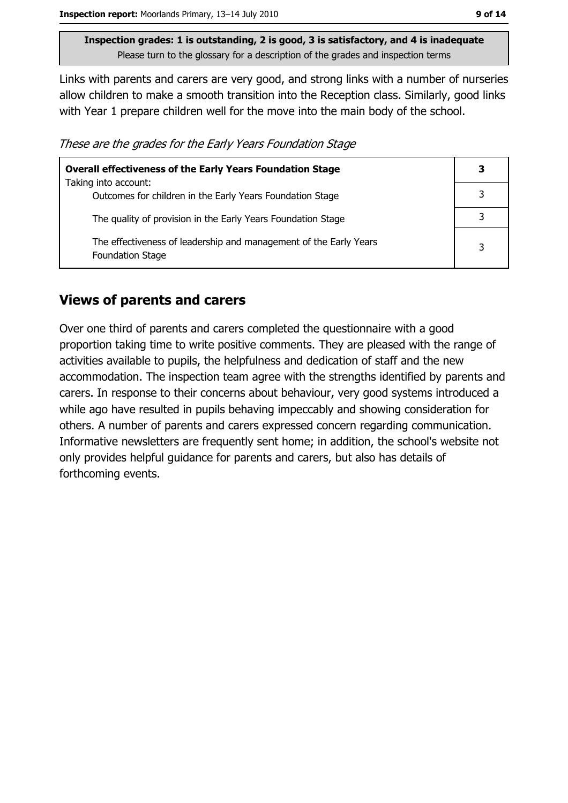Links with parents and carers are very good, and strong links with a number of nurseries allow children to make a smooth transition into the Reception class. Similarly, good links with Year 1 prepare children well for the move into the main body of the school.

These are the grades for the Early Years Foundation Stage

| <b>Overall effectiveness of the Early Years Foundation Stage</b>                             | З |
|----------------------------------------------------------------------------------------------|---|
| Taking into account:<br>Outcomes for children in the Early Years Foundation Stage            |   |
|                                                                                              |   |
| The quality of provision in the Early Years Foundation Stage                                 |   |
| The effectiveness of leadership and management of the Early Years<br><b>Foundation Stage</b> | 3 |

#### **Views of parents and carers**

Over one third of parents and carers completed the questionnaire with a good proportion taking time to write positive comments. They are pleased with the range of activities available to pupils, the helpfulness and dedication of staff and the new accommodation. The inspection team agree with the strengths identified by parents and carers. In response to their concerns about behaviour, very good systems introduced a while ago have resulted in pupils behaving impeccably and showing consideration for others. A number of parents and carers expressed concern regarding communication. Informative newsletters are frequently sent home; in addition, the school's website not only provides helpful guidance for parents and carers, but also has details of forthcoming events.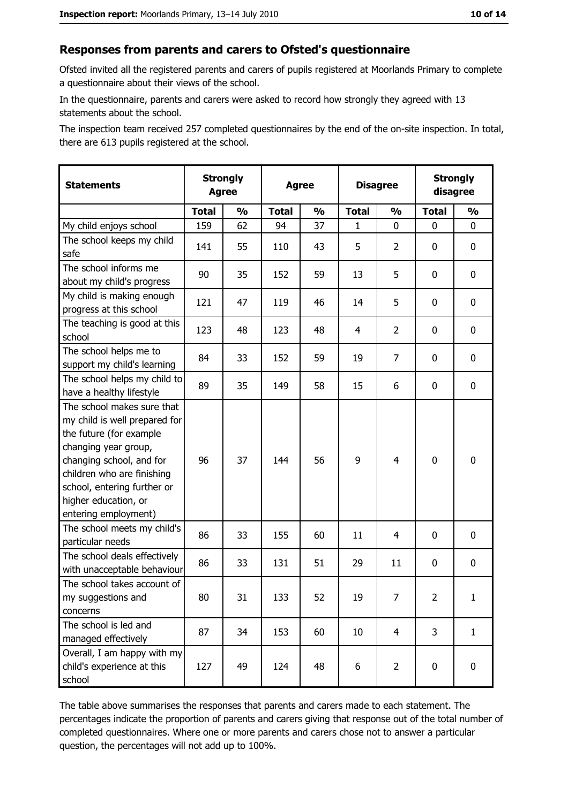#### Responses from parents and carers to Ofsted's questionnaire

Ofsted invited all the registered parents and carers of pupils registered at Moorlands Primary to complete a questionnaire about their views of the school.

In the questionnaire, parents and carers were asked to record how strongly they agreed with 13 statements about the school.

The inspection team received 257 completed questionnaires by the end of the on-site inspection. In total, there are 613 pupils registered at the school.

| <b>Statements</b>                                                                                                                                                                                                                                       | <b>Strongly</b><br><b>Agree</b> |               | <b>Agree</b> |               | <b>Disagree</b> |                | <b>Strongly</b><br>disagree |               |
|---------------------------------------------------------------------------------------------------------------------------------------------------------------------------------------------------------------------------------------------------------|---------------------------------|---------------|--------------|---------------|-----------------|----------------|-----------------------------|---------------|
|                                                                                                                                                                                                                                                         | <b>Total</b>                    | $\frac{1}{2}$ | <b>Total</b> | $\frac{0}{0}$ | <b>Total</b>    | $\frac{1}{2}$  | <b>Total</b>                | $\frac{1}{2}$ |
| My child enjoys school                                                                                                                                                                                                                                  | 159                             | 62            | 94           | 37            | 1               | 0              | 0                           | 0             |
| The school keeps my child<br>safe                                                                                                                                                                                                                       | 141                             | 55            | 110          | 43            | 5               | $\overline{2}$ | 0                           | 0             |
| The school informs me<br>about my child's progress                                                                                                                                                                                                      | 90                              | 35            | 152          | 59            | 13              | 5              | 0                           | 0             |
| My child is making enough<br>progress at this school                                                                                                                                                                                                    | 121                             | 47            | 119          | 46            | 14              | 5              | 0                           | 0             |
| The teaching is good at this<br>school                                                                                                                                                                                                                  | 123                             | 48            | 123          | 48            | 4               | $\overline{2}$ | 0                           | 0             |
| The school helps me to<br>support my child's learning                                                                                                                                                                                                   | 84                              | 33            | 152          | 59            | 19              | 7              | 0                           | $\mathbf 0$   |
| The school helps my child to<br>have a healthy lifestyle                                                                                                                                                                                                | 89                              | 35            | 149          | 58            | 15              | 6              | 0                           | $\mathbf 0$   |
| The school makes sure that<br>my child is well prepared for<br>the future (for example<br>changing year group,<br>changing school, and for<br>children who are finishing<br>school, entering further or<br>higher education, or<br>entering employment) | 96                              | 37            | 144          | 56            | 9               | 4              | $\mathbf 0$                 | $\mathbf 0$   |
| The school meets my child's<br>particular needs                                                                                                                                                                                                         | 86                              | 33            | 155          | 60            | 11              | 4              | 0                           | 0             |
| The school deals effectively<br>with unacceptable behaviour                                                                                                                                                                                             | 86                              | 33            | 131          | 51            | 29              | 11             | 0                           | $\mathbf 0$   |
| The school takes account of<br>my suggestions and<br>concerns                                                                                                                                                                                           | 80                              | 31            | 133          | 52            | 19              | 7              | $\overline{2}$              | $\mathbf{1}$  |
| The school is led and<br>managed effectively                                                                                                                                                                                                            | 87                              | 34            | 153          | 60            | 10              | 4              | 3                           | $\mathbf{1}$  |
| Overall, I am happy with my<br>child's experience at this<br>school                                                                                                                                                                                     | 127                             | 49            | 124          | 48            | 6               | $\overline{2}$ | $\mathbf 0$                 | 0             |

The table above summarises the responses that parents and carers made to each statement. The percentages indicate the proportion of parents and carers giving that response out of the total number of completed questionnaires. Where one or more parents and carers chose not to answer a particular question, the percentages will not add up to 100%.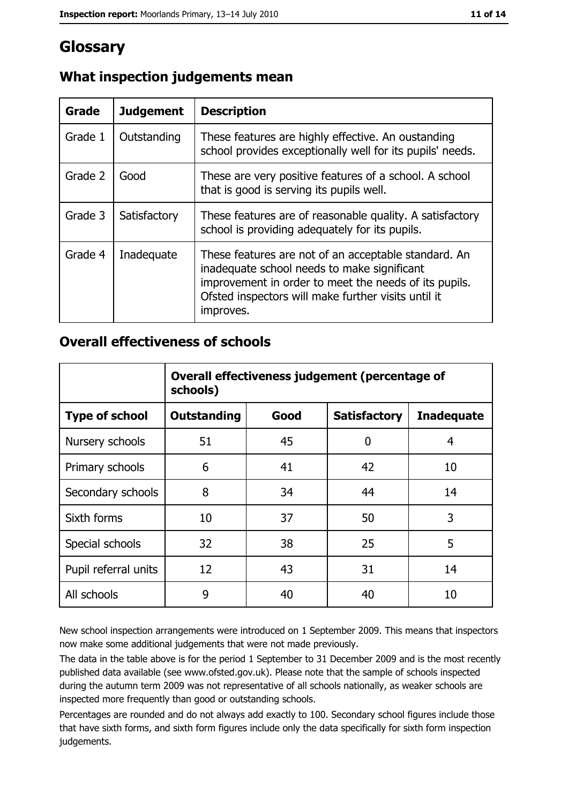# Glossary

| Grade   | <b>Judgement</b> | <b>Description</b>                                                                                                                                                                                                               |
|---------|------------------|----------------------------------------------------------------------------------------------------------------------------------------------------------------------------------------------------------------------------------|
| Grade 1 | Outstanding      | These features are highly effective. An oustanding<br>school provides exceptionally well for its pupils' needs.                                                                                                                  |
| Grade 2 | Good             | These are very positive features of a school. A school<br>that is good is serving its pupils well.                                                                                                                               |
| Grade 3 | Satisfactory     | These features are of reasonable quality. A satisfactory<br>school is providing adequately for its pupils.                                                                                                                       |
| Grade 4 | Inadequate       | These features are not of an acceptable standard. An<br>inadequate school needs to make significant<br>improvement in order to meet the needs of its pupils.<br>Ofsted inspectors will make further visits until it<br>improves. |

# What inspection judgements mean

## **Overall effectiveness of schools**

|                       | Overall effectiveness judgement (percentage of<br>schools) |      |                     |                   |
|-----------------------|------------------------------------------------------------|------|---------------------|-------------------|
| <b>Type of school</b> | <b>Outstanding</b>                                         | Good | <b>Satisfactory</b> | <b>Inadequate</b> |
| Nursery schools       | 51                                                         | 45   | 0                   | 4                 |
| Primary schools       | 6                                                          | 41   | 42                  | 10                |
| Secondary schools     | 8                                                          | 34   | 44                  | 14                |
| Sixth forms           | 10                                                         | 37   | 50                  | 3                 |
| Special schools       | 32                                                         | 38   | 25                  | 5                 |
| Pupil referral units  | 12                                                         | 43   | 31                  | 14                |
| All schools           | 9                                                          | 40   | 40                  | 10                |

New school inspection arrangements were introduced on 1 September 2009. This means that inspectors now make some additional judgements that were not made previously.

The data in the table above is for the period 1 September to 31 December 2009 and is the most recently published data available (see www.ofsted.gov.uk). Please note that the sample of schools inspected during the autumn term 2009 was not representative of all schools nationally, as weaker schools are inspected more frequently than good or outstanding schools.

Percentages are rounded and do not always add exactly to 100. Secondary school figures include those that have sixth forms, and sixth form figures include only the data specifically for sixth form inspection judgements.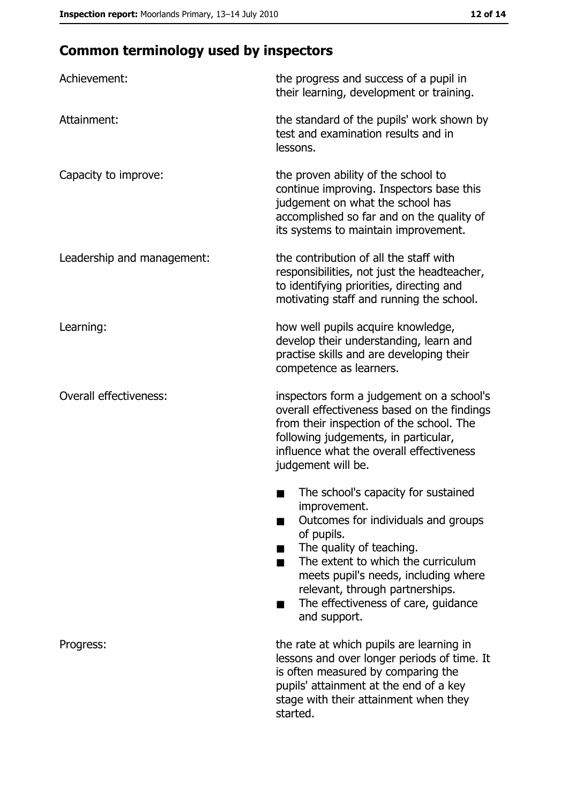# **Common terminology used by inspectors**

| Achievement:                  | the progress and success of a pupil in<br>their learning, development or training.                                                                                                                                                                                                                           |
|-------------------------------|--------------------------------------------------------------------------------------------------------------------------------------------------------------------------------------------------------------------------------------------------------------------------------------------------------------|
| Attainment:                   | the standard of the pupils' work shown by<br>test and examination results and in<br>lessons.                                                                                                                                                                                                                 |
| Capacity to improve:          | the proven ability of the school to<br>continue improving. Inspectors base this<br>judgement on what the school has<br>accomplished so far and on the quality of<br>its systems to maintain improvement.                                                                                                     |
| Leadership and management:    | the contribution of all the staff with<br>responsibilities, not just the headteacher,<br>to identifying priorities, directing and<br>motivating staff and running the school.                                                                                                                                |
| Learning:                     | how well pupils acquire knowledge,<br>develop their understanding, learn and<br>practise skills and are developing their<br>competence as learners.                                                                                                                                                          |
| <b>Overall effectiveness:</b> | inspectors form a judgement on a school's<br>overall effectiveness based on the findings<br>from their inspection of the school. The<br>following judgements, in particular,<br>influence what the overall effectiveness<br>judgement will be.                                                               |
|                               | The school's capacity for sustained<br>improvement.<br>Outcomes for individuals and groups<br>of pupils.<br>The quality of teaching.<br>The extent to which the curriculum<br>meets pupil's needs, including where<br>relevant, through partnerships.<br>The effectiveness of care, guidance<br>and support. |
| Progress:                     | the rate at which pupils are learning in<br>lessons and over longer periods of time. It<br>is often measured by comparing the<br>pupils' attainment at the end of a key<br>stage with their attainment when they<br>started.                                                                                 |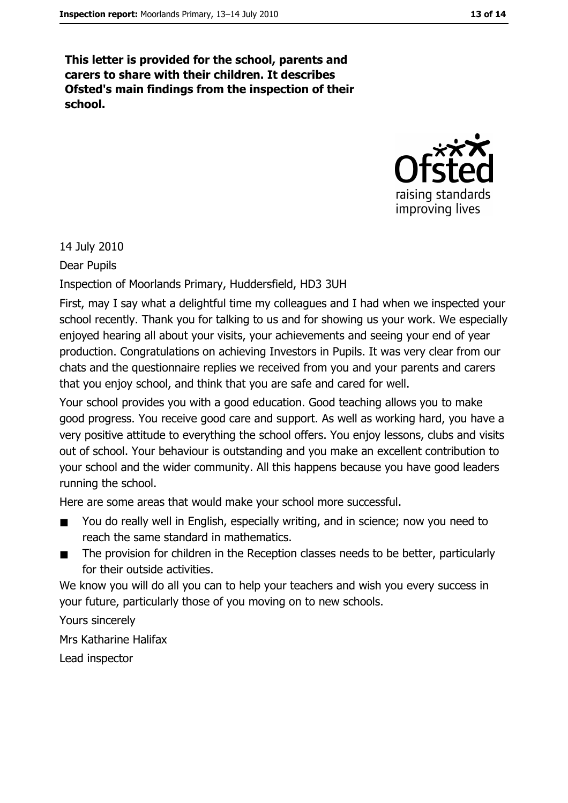This letter is provided for the school, parents and carers to share with their children. It describes Ofsted's main findings from the inspection of their school.



14 July 2010

Dear Pupils

Inspection of Moorlands Primary, Huddersfield, HD3 3UH

First, may I say what a delightful time my colleagues and I had when we inspected your school recently. Thank you for talking to us and for showing us your work. We especially enjoyed hearing all about your visits, your achievements and seeing your end of year production. Congratulations on achieving Investors in Pupils. It was very clear from our chats and the questionnaire replies we received from you and your parents and carers that you enjoy school, and think that you are safe and cared for well.

Your school provides you with a good education. Good teaching allows you to make good progress. You receive good care and support. As well as working hard, you have a very positive attitude to everything the school offers. You enjoy lessons, clubs and visits out of school. Your behaviour is outstanding and you make an excellent contribution to your school and the wider community. All this happens because you have good leaders running the school.

Here are some areas that would make your school more successful.

- You do really well in English, especially writing, and in science; now you need to  $\blacksquare$ reach the same standard in mathematics.
- The provision for children in the Reception classes needs to be better, particularly  $\blacksquare$ for their outside activities.

We know you will do all you can to help your teachers and wish you every success in your future, particularly those of you moving on to new schools.

Yours sincerely

Mrs Katharine Halifax

Lead inspector